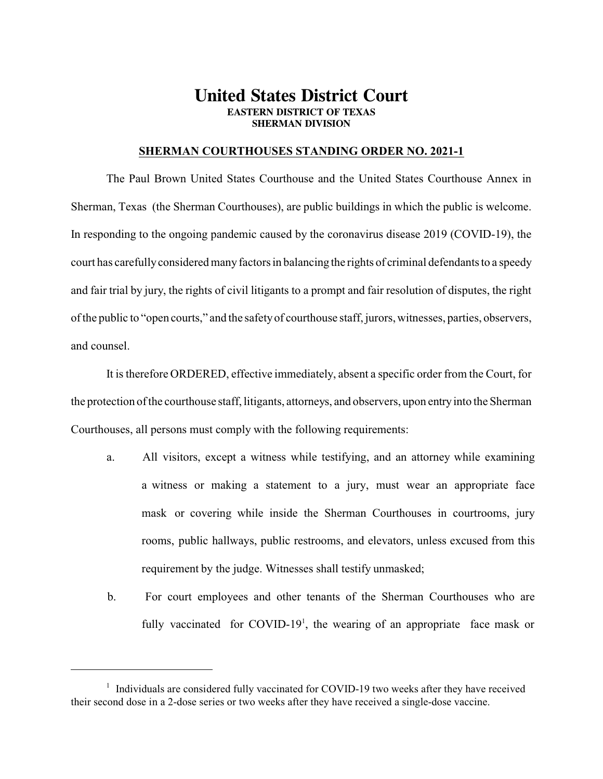## **United States District Court EASTERN DISTRICT OF TEXAS SHERMAN DIVISION**

## **SHERMAN COURTHOUSES STANDING ORDER NO. 2021-1**

The Paul Brown United States Courthouse and the United States Courthouse Annex in Sherman, Texas (the Sherman Courthouses), are public buildings in which the public is welcome. In responding to the ongoing pandemic caused by the coronavirus disease 2019 (COVID-19), the court has carefully considered many factors in balancing the rights of criminal defendants to a speedy and fair trial by jury, the rights of civil litigants to a prompt and fair resolution of disputes, the right of the public to "open courts," and the safety of courthouse staff, jurors, witnesses, parties, observers, and counsel.

It is therefore ORDERED, effective immediately, absent a specific order from the Court, for the protection of the courthouse staff, litigants, attorneys, and observers, upon entry into the Sherman Courthouses, all persons must comply with the following requirements:

- a. All visitors, except a witness while testifying, and an attorney while examining a witness or making a statement to a jury, must wear an appropriate face mask or covering while inside the Sherman Courthouses in courtrooms, jury rooms, public hallways, public restrooms, and elevators, unless excused from this requirement by the judge. Witnesses shall testify unmasked;
- b. For court employees and other tenants of the Sherman Courthouses who are fully vaccinated for COVID-19<sup>1</sup>, the wearing of an appropriate face mask or

<sup>&</sup>lt;sup>1</sup> Individuals are considered fully vaccinated for COVID-19 two weeks after they have received their second dose in a 2-dose series or two weeks after they have received a single-dose vaccine.